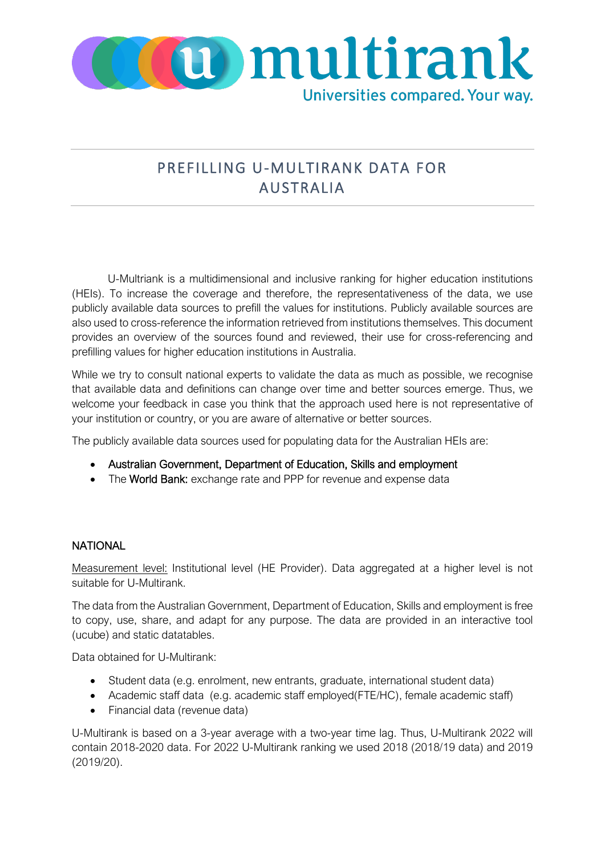

## PREFILLING U-MULTIRANK DATA FOR AUSTRALIA

U-Multriank is a multidimensional and inclusive ranking for higher education institutions (HEIs). To increase the coverage and therefore, the representativeness of the data, we use publicly available data sources to prefill the values for institutions. Publicly available sources are also used to cross-reference the information retrieved from institutions themselves. This document provides an overview of the sources found and reviewed, their use for cross-referencing and prefilling values for higher education institutions in Australia.

While we try to consult national experts to validate the data as much as possible, we recognise that available data and definitions can change over time and better sources emerge. Thus, we welcome your feedback in case you think that the approach used here is not representative of your institution or country, or you are aware of alternative or better sources.

The publicly available data sources used for populating data for the Australian HEIs are:

- Australian Government, Department of Education, Skills and employment
- The World Bank: exchange rate and PPP for revenue and expense data

## **NATIONAL**

Measurement level: Institutional level (HE Provider). Data aggregated at a higher level is not suitable for U-Multirank.

The data from the Australian Government, Department of Education, Skills and employment is free to copy, use, share, and adapt for any purpose. The data are provided in an interactive tool (ucube) and static datatables.

Data obtained for U-Multirank:

- Student data (e.g. enrolment, new entrants, graduate, international student data)
- Academic staff data (e.g. academic staff employed(FTE/HC), female academic staff)
- Financial data (revenue data)

U-Multirank is based on a 3-year average with a two-year time lag. Thus, U-Multirank 2022 will contain 2018-2020 data. For 2022 U-Multirank ranking we used 2018 (2018/19 data) and 2019 (2019/20).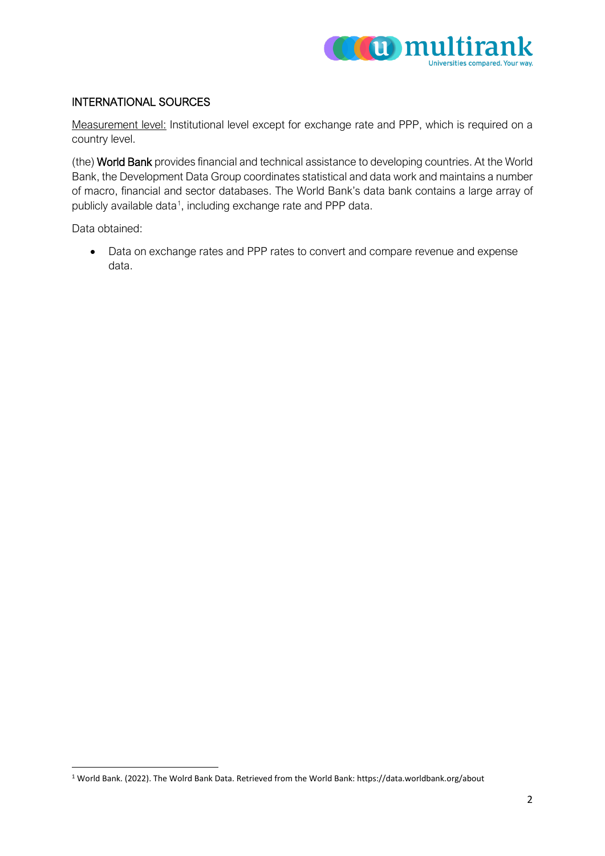

## INTERNATIONAL SOURCES

Measurement level: Institutional level except for exchange rate and PPP, which is required on a country level.

(the) World Bank provides financial and technical assistance to developing countries. At the World Bank, the Development Data Group coordinates statistical and data work and maintains a number of macro, financial and sector databases. The World Bank's data bank contains a large array of publicly available data<sup>[1](#page-1-0)</sup>, including exchange rate and PPP data.

Data obtained:

• Data on exchange rates and PPP rates to convert and compare revenue and expense data.

<span id="page-1-0"></span><sup>1</sup> World Bank. (2022). The Wolrd Bank Data. Retrieved from the World Bank: https://data.worldbank.org/about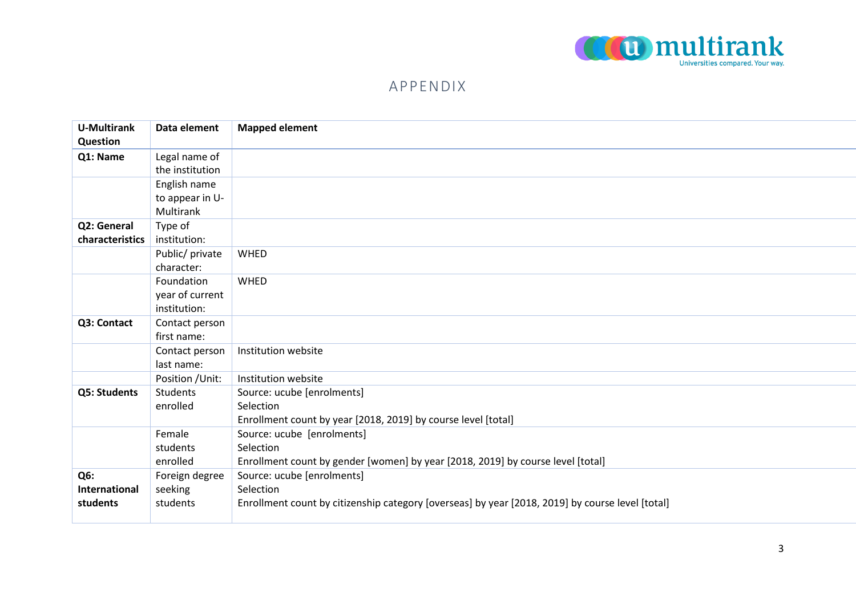

## APPENDIX

| <b>U-Multirank</b> | Data element     | <b>Mapped element</b>                                                                            |
|--------------------|------------------|--------------------------------------------------------------------------------------------------|
| Question           |                  |                                                                                                  |
| Q1: Name           | Legal name of    |                                                                                                  |
|                    | the institution  |                                                                                                  |
|                    | English name     |                                                                                                  |
|                    | to appear in U-  |                                                                                                  |
|                    | Multirank        |                                                                                                  |
| Q2: General        | Type of          |                                                                                                  |
| characteristics    | institution:     |                                                                                                  |
|                    | Public/ private  | WHED                                                                                             |
|                    | character:       |                                                                                                  |
|                    | Foundation       | <b>WHED</b>                                                                                      |
|                    | year of current  |                                                                                                  |
|                    | institution:     |                                                                                                  |
| Q3: Contact        | Contact person   |                                                                                                  |
|                    | first name:      |                                                                                                  |
|                    | Contact person   | Institution website                                                                              |
|                    | last name:       |                                                                                                  |
|                    | Position / Unit: | Institution website                                                                              |
| Q5: Students       | <b>Students</b>  | Source: ucube [enrolments]                                                                       |
|                    | enrolled         | Selection                                                                                        |
|                    |                  | Enrollment count by year [2018, 2019] by course level [total]                                    |
|                    | Female           | Source: ucube [enrolments]                                                                       |
|                    | students         | Selection                                                                                        |
|                    | enrolled         | Enrollment count by gender [women] by year [2018, 2019] by course level [total]                  |
| Q6:                | Foreign degree   | Source: ucube [enrolments]                                                                       |
| International      | seeking          | Selection                                                                                        |
| students           | students         | Enrollment count by citizenship category [overseas] by year [2018, 2019] by course level [total] |
|                    |                  |                                                                                                  |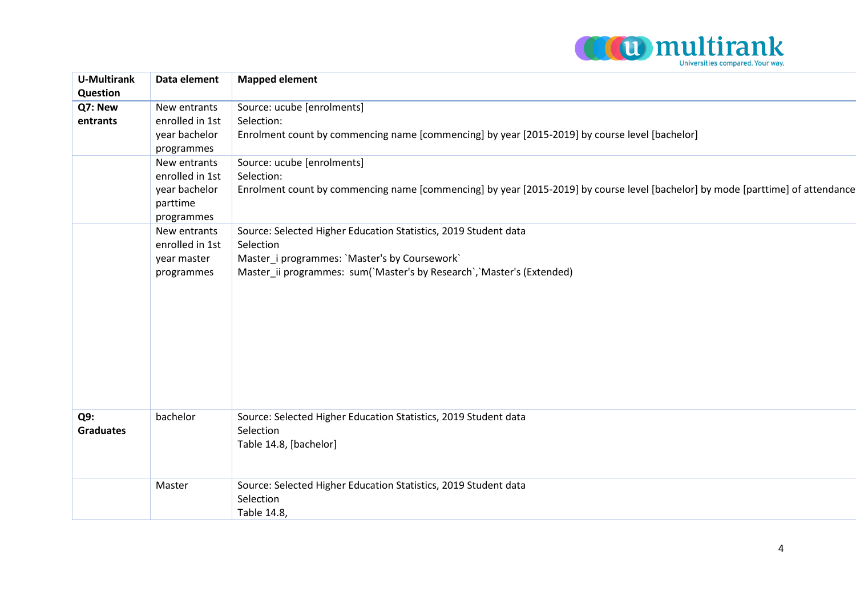

| <b>U-Multirank</b> | Data element    | <b>Mapped element</b>                                                                                                           |
|--------------------|-----------------|---------------------------------------------------------------------------------------------------------------------------------|
| Question           |                 |                                                                                                                                 |
| Q7: New            | New entrants    | Source: ucube [enrolments]                                                                                                      |
| entrants           | enrolled in 1st | Selection:                                                                                                                      |
|                    | year bachelor   | Enrolment count by commencing name [commencing] by year [2015-2019] by course level [bachelor]                                  |
|                    | programmes      |                                                                                                                                 |
|                    | New entrants    | Source: ucube [enrolments]                                                                                                      |
|                    | enrolled in 1st | Selection:                                                                                                                      |
|                    | year bachelor   | Enrolment count by commencing name [commencing] by year [2015-2019] by course level [bachelor] by mode [parttime] of attendance |
|                    | parttime        |                                                                                                                                 |
|                    | programmes      |                                                                                                                                 |
|                    | New entrants    | Source: Selected Higher Education Statistics, 2019 Student data                                                                 |
|                    | enrolled in 1st | Selection                                                                                                                       |
|                    | year master     | Master_i programmes: `Master's by Coursework`                                                                                   |
|                    | programmes      | Master_ii programmes: sum(`Master's by Research`, `Master's (Extended)                                                          |
|                    |                 |                                                                                                                                 |
|                    |                 |                                                                                                                                 |
|                    |                 |                                                                                                                                 |
|                    |                 |                                                                                                                                 |
|                    |                 |                                                                                                                                 |
|                    |                 |                                                                                                                                 |
|                    |                 |                                                                                                                                 |
|                    |                 |                                                                                                                                 |
|                    |                 |                                                                                                                                 |
| Q9:                | bachelor        | Source: Selected Higher Education Statistics, 2019 Student data                                                                 |
| <b>Graduates</b>   |                 | Selection                                                                                                                       |
|                    |                 | Table 14.8, [bachelor]                                                                                                          |
|                    |                 |                                                                                                                                 |
|                    |                 |                                                                                                                                 |
|                    | Master          | Source: Selected Higher Education Statistics, 2019 Student data                                                                 |
|                    |                 | Selection                                                                                                                       |
|                    |                 | Table 14.8,                                                                                                                     |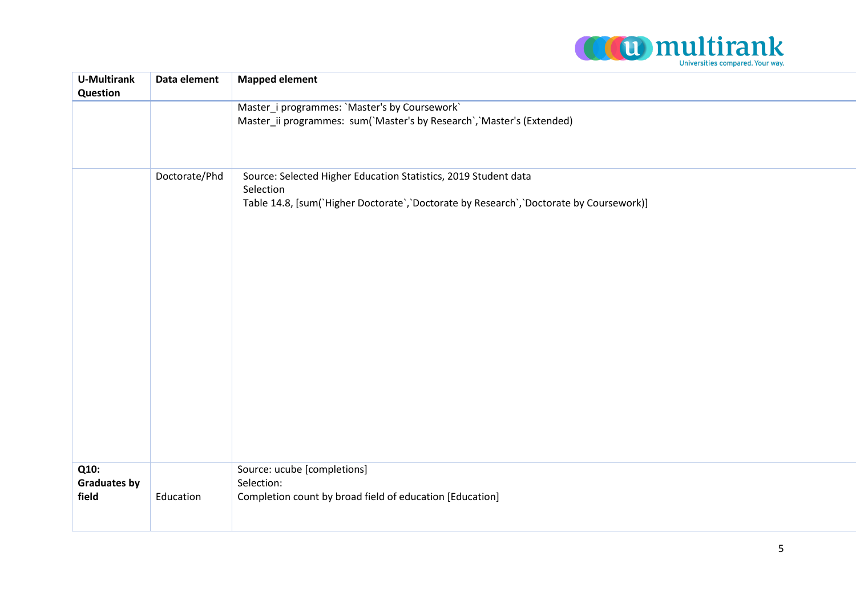

| <b>U-Multirank</b><br>Question       | Data element  | <b>Mapped element</b>                                                                                                                                                    |
|--------------------------------------|---------------|--------------------------------------------------------------------------------------------------------------------------------------------------------------------------|
|                                      |               | Master_i programmes: 'Master's by Coursework'<br>Master_ii programmes: sum('Master's by Research', 'Master's (Extended)                                                  |
|                                      | Doctorate/Phd | Source: Selected Higher Education Statistics, 2019 Student data<br>Selection<br>Table 14.8, [sum('Higher Doctorate', 'Doctorate by Research', 'Doctorate by Coursework)] |
| Q10:<br><b>Graduates by</b><br>field | Education     | Source: ucube [completions]<br>Selection:<br>Completion count by broad field of education [Education]                                                                    |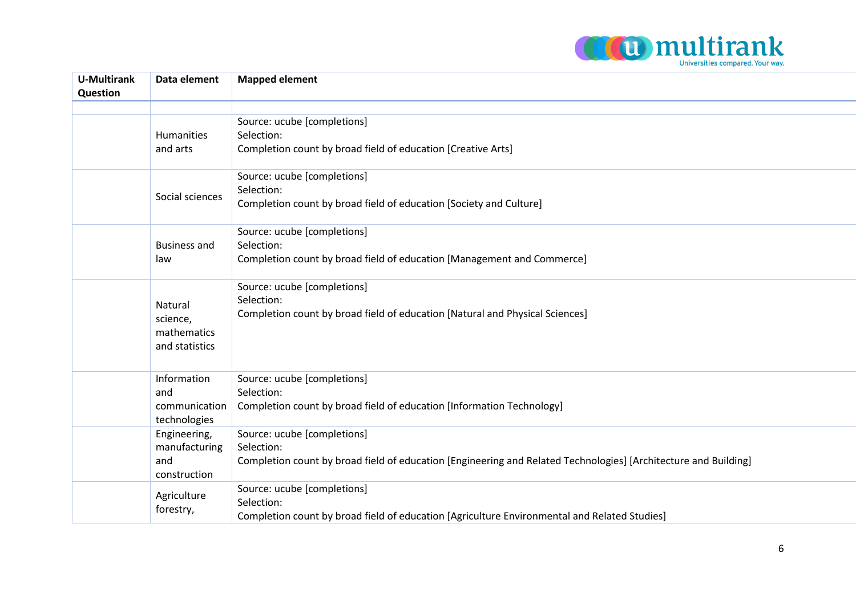

| <b>U-Multirank</b><br><b>Question</b> | Data element                                         | <b>Mapped element</b>                                                                                                                                        |
|---------------------------------------|------------------------------------------------------|--------------------------------------------------------------------------------------------------------------------------------------------------------------|
|                                       |                                                      |                                                                                                                                                              |
|                                       | <b>Humanities</b><br>and arts                        | Source: ucube [completions]<br>Selection:<br>Completion count by broad field of education [Creative Arts]                                                    |
|                                       | Social sciences                                      | Source: ucube [completions]<br>Selection:<br>Completion count by broad field of education [Society and Culture]                                              |
|                                       | <b>Business and</b><br>law                           | Source: ucube [completions]<br>Selection:<br>Completion count by broad field of education [Management and Commerce]                                          |
|                                       | Natural<br>science,<br>mathematics<br>and statistics | Source: ucube [completions]<br>Selection:<br>Completion count by broad field of education [Natural and Physical Sciences]                                    |
|                                       | Information<br>and<br>communication<br>technologies  | Source: ucube [completions]<br>Selection:<br>Completion count by broad field of education [Information Technology]                                           |
|                                       | Engineering,<br>manufacturing<br>and<br>construction | Source: ucube [completions]<br>Selection:<br>Completion count by broad field of education [Engineering and Related Technologies] [Architecture and Building] |
|                                       | Agriculture<br>forestry,                             | Source: ucube [completions]<br>Selection:<br>Completion count by broad field of education [Agriculture Environmental and Related Studies]                    |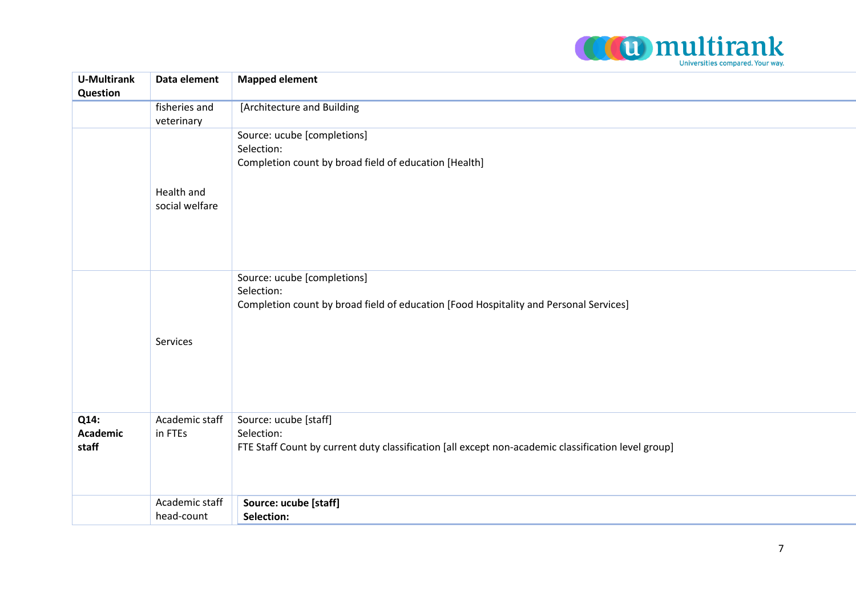

| <b>U-Multirank</b><br>Question   | Data element                 | <b>Mapped element</b>                                                                                                                      |
|----------------------------------|------------------------------|--------------------------------------------------------------------------------------------------------------------------------------------|
|                                  | fisheries and<br>veterinary  | [Architecture and Building                                                                                                                 |
|                                  | Health and<br>social welfare | Source: ucube [completions]<br>Selection:<br>Completion count by broad field of education [Health]                                         |
|                                  | Services                     | Source: ucube [completions]<br>Selection:<br>Completion count by broad field of education [Food Hospitality and Personal Services]         |
| Q14:<br><b>Academic</b><br>staff | Academic staff<br>in FTEs    | Source: ucube [staff]<br>Selection:<br>FTE Staff Count by current duty classification [all except non-academic classification level group] |
|                                  | Academic staff<br>head-count | Source: ucube [staff]<br>Selection:                                                                                                        |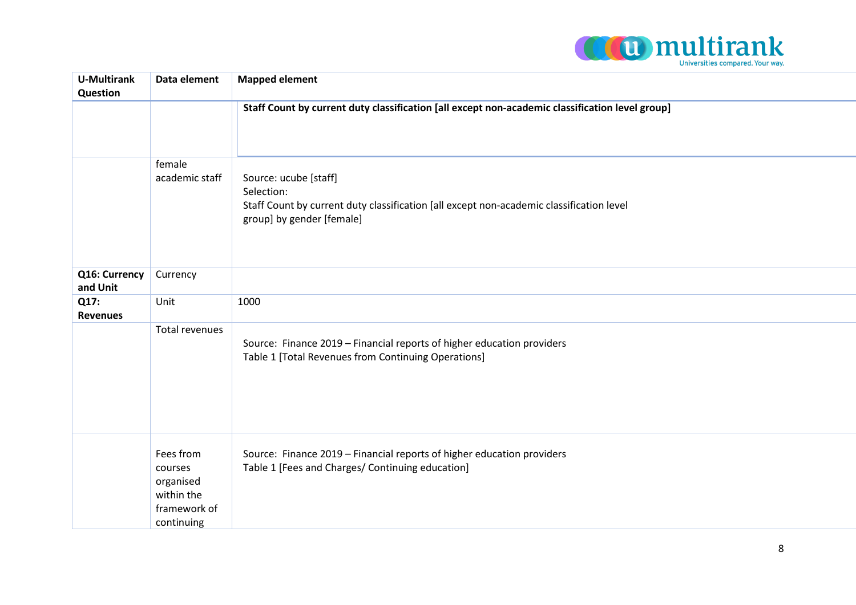

| <b>U-Multirank</b><br>Question | Data element                                                                  | <b>Mapped element</b>                                                                                                                                        |
|--------------------------------|-------------------------------------------------------------------------------|--------------------------------------------------------------------------------------------------------------------------------------------------------------|
|                                |                                                                               | Staff Count by current duty classification [all except non-academic classification level group]                                                              |
|                                | female<br>academic staff                                                      | Source: ucube [staff]<br>Selection:<br>Staff Count by current duty classification [all except non-academic classification level<br>group] by gender [female] |
| Q16: Currency<br>and Unit      | Currency                                                                      |                                                                                                                                                              |
| Q17:<br><b>Revenues</b>        | Unit                                                                          | 1000                                                                                                                                                         |
|                                | Total revenues                                                                | Source: Finance 2019 - Financial reports of higher education providers<br>Table 1 [Total Revenues from Continuing Operations]                                |
|                                | Fees from<br>courses<br>organised<br>within the<br>framework of<br>continuing | Source: Finance 2019 - Financial reports of higher education providers<br>Table 1 [Fees and Charges/ Continuing education]                                   |